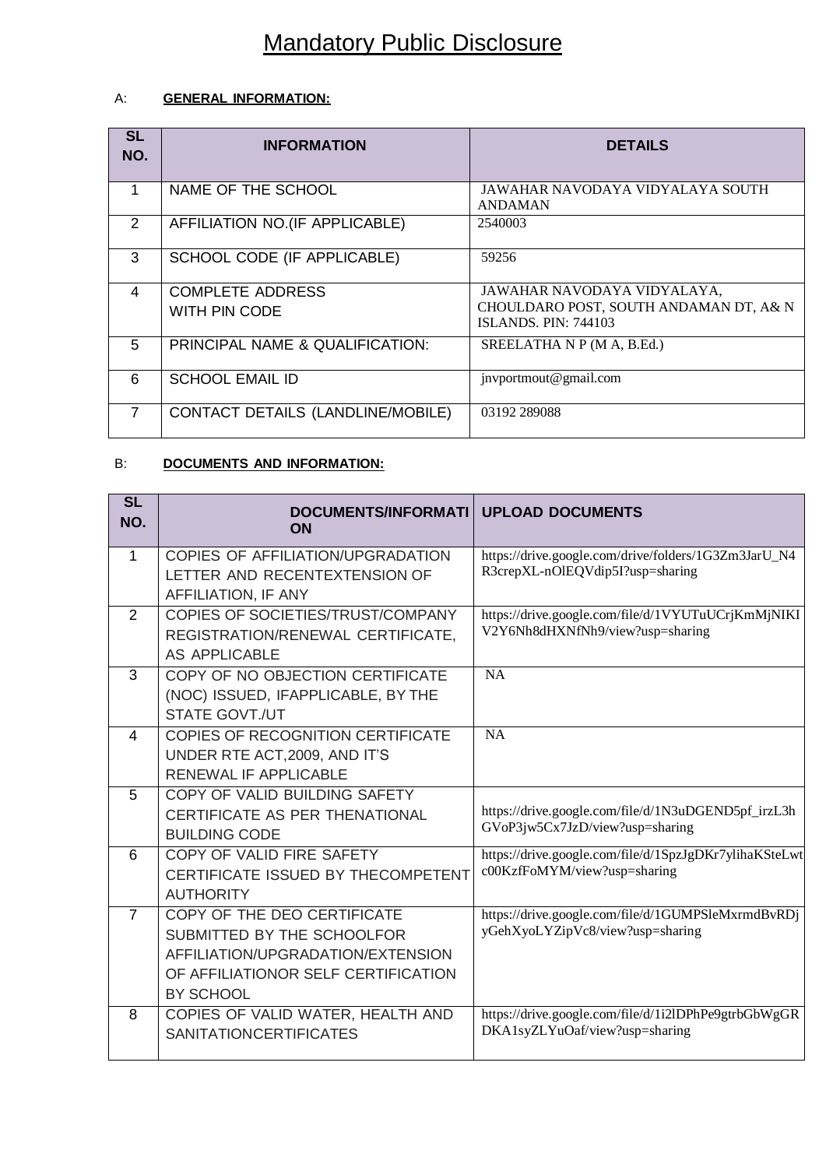# Mandatory Public Disclosure

## A: **GENERAL INFORMATION:**

| <b>SL</b><br>NO. | <b>INFORMATION</b>                       | <b>DETAILS</b>                                                        |
|------------------|------------------------------------------|-----------------------------------------------------------------------|
| 1                | NAME OF THE SCHOOL                       | JAWAHAR NAVODAYA VIDYALAYA SOUTH<br><b>ANDAMAN</b>                    |
| 2                | AFFILIATION NO.(IF APPLICABLE)           | 2540003                                                               |
| 3                | SCHOOL CODE (IF APPLICABLE)              | 59256                                                                 |
| 4                | <b>COMPLETE ADDRESS</b><br>WITH PIN CODE | JAWAHAR NAVODAYA VIDYALAYA,<br>CHOULDARO POST, SOUTH ANDAMAN DT, A& N |
|                  |                                          | <b>ISLANDS. PIN: 744103</b>                                           |
| 5                | PRINCIPAL NAME & QUALIFICATION:          | SREELATHA N P (M A, B.Ed.)                                            |
| 6                | <b>SCHOOL EMAIL ID</b>                   | jnvportmout@gmail.com                                                 |
| 7                | CONTACT DETAILS (LANDLINE/MOBILE)        | 03192 289088                                                          |

# B: **DOCUMENTS AND INFORMATION:**

| <b>SL</b><br>NO. | DOCUMENTS/INFORMATI<br>ON                                                                                                                                 | <b>UPLOAD DOCUMENTS</b>                                                                  |
|------------------|-----------------------------------------------------------------------------------------------------------------------------------------------------------|------------------------------------------------------------------------------------------|
| 1                | COPIES OF AFFILIATION/UPGRADATION<br>LETTER AND RECENTEXTENSION OF<br>AFFILIATION, IF ANY                                                                 | https://drive.google.com/drive/folders/1G3Zm3JarU_N4<br>R3crepXL-nOlEQVdip5I?usp=sharing |
| $\mathcal{P}$    | COPIES OF SOCIETIES/TRUST/COMPANY<br>REGISTRATION/RENEWAL CERTIFICATE,<br><b>AS APPLICABLE</b>                                                            | https://drive.google.com/file/d/1VYUTuUCrjKmMjNIKI<br>V2Y6Nh8dHXNfNh9/view?usp=sharing   |
| 3                | COPY OF NO OBJECTION CERTIFICATE<br>(NOC) ISSUED, IFAPPLICABLE, BY THE<br><b>STATE GOVT./UT</b>                                                           | <b>NA</b>                                                                                |
| 4                | <b>COPIES OF RECOGNITION CERTIFICATE</b><br>UNDER RTE ACT, 2009, AND IT'S<br><b>RENEWAL IF APPLICABLE</b>                                                 | <b>NA</b>                                                                                |
| 5                | COPY OF VALID BUILDING SAFETY<br>CERTIFICATE AS PER THENATIONAL<br><b>BUILDING CODE</b>                                                                   | https://drive.google.com/file/d/1N3uDGEND5pf_irzL3h<br>GVoP3jw5Cx7JzD/view?usp=sharing   |
| 6                | COPY OF VALID FIRE SAFETY<br><b>CERTIFICATE ISSUED BY THECOMPETENT</b><br><b>AUTHORITY</b>                                                                | https://drive.google.com/file/d/1SpzJgDKr7ylihaKSteLwt<br>c00KzfFoMYM/view?usp=sharing   |
| $\overline{7}$   | COPY OF THE DEO CERTIFICATE<br>SUBMITTED BY THE SCHOOLFOR<br>AFFILIATION/UPGRADATION/EXTENSION<br>OF AFFILIATIONOR SELF CERTIFICATION<br><b>BY SCHOOL</b> | https://drive.google.com/file/d/1GUMPSleMxrmdBvRDj<br>yGehXyoLYZipVc8/view?usp=sharing   |
| 8                | COPIES OF VALID WATER, HEALTH AND<br><b>SANITATIONCERTIFICATES</b>                                                                                        | https://drive.google.com/file/d/1i2lDPhPe9gtrbGbWgGR<br>DKA1syZLYuOaf/view?usp=sharing   |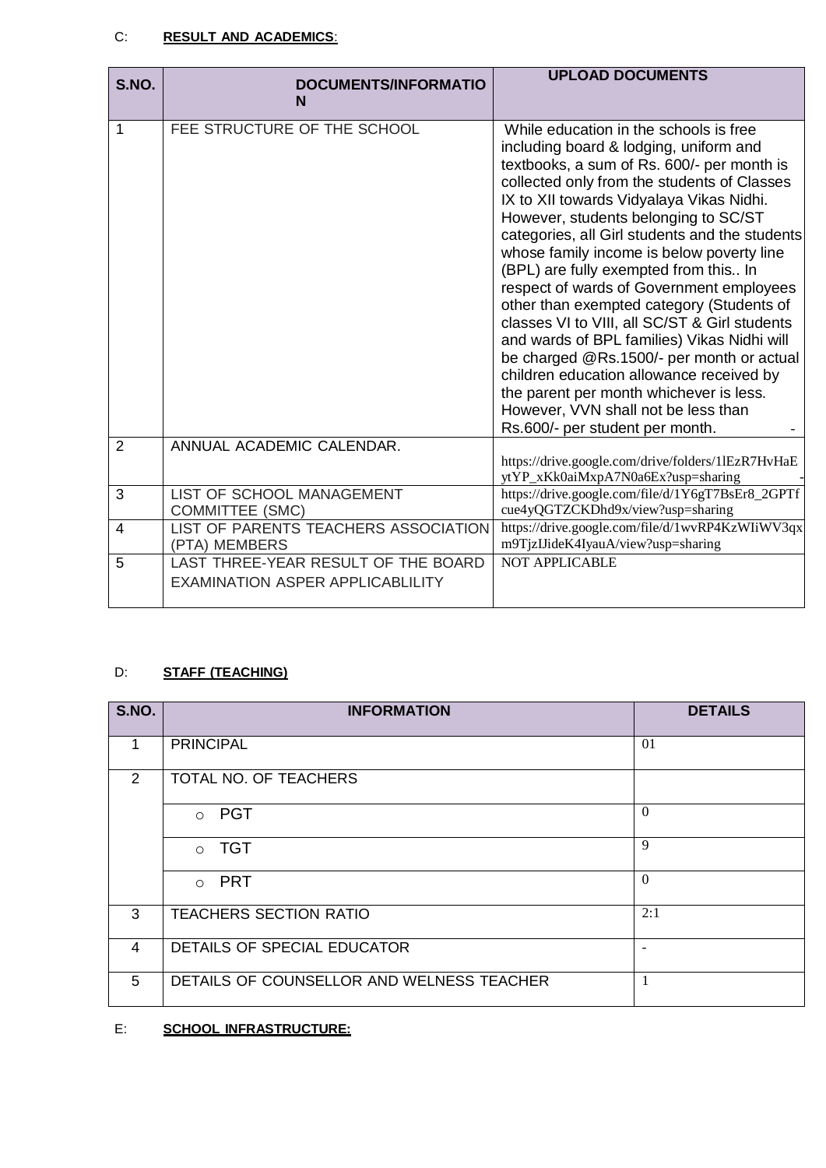#### C: **RESULT AND ACADEMICS**:

| S.NO.          | <b>DOCUMENTS/INFORMATIO</b><br>N                                               | <b>UPLOAD DOCUMENTS</b>                                                                                                                                                                                                                                                                                                                                                                                                                                                                                                                                                                                                                                                                                                                                                                                          |
|----------------|--------------------------------------------------------------------------------|------------------------------------------------------------------------------------------------------------------------------------------------------------------------------------------------------------------------------------------------------------------------------------------------------------------------------------------------------------------------------------------------------------------------------------------------------------------------------------------------------------------------------------------------------------------------------------------------------------------------------------------------------------------------------------------------------------------------------------------------------------------------------------------------------------------|
| 1              | FEE STRUCTURE OF THE SCHOOL                                                    | While education in the schools is free<br>including board & lodging, uniform and<br>textbooks, a sum of Rs. 600/- per month is<br>collected only from the students of Classes<br>IX to XII towards Vidyalaya Vikas Nidhi.<br>However, students belonging to SC/ST<br>categories, all Girl students and the students<br>whose family income is below poverty line<br>(BPL) are fully exempted from this In<br>respect of wards of Government employees<br>other than exempted category (Students of<br>classes VI to VIII, all SC/ST & Girl students<br>and wards of BPL families) Vikas Nidhi will<br>be charged @Rs.1500/- per month or actual<br>children education allowance received by<br>the parent per month whichever is less.<br>However, VVN shall not be less than<br>Rs.600/- per student per month. |
| $\overline{2}$ | ANNUAL ACADEMIC CALENDAR.                                                      | https://drive.google.com/drive/folders/1lEzR7HvHaE<br>ytYP_xKk0aiMxpA7N0a6Ex?usp=sharing                                                                                                                                                                                                                                                                                                                                                                                                                                                                                                                                                                                                                                                                                                                         |
| 3              | LIST OF SCHOOL MANAGEMENT<br><b>COMMITTEE (SMC)</b>                            | https://drive.google.com/file/d/1Y6gT7BsEr8_2GPTf<br>cue4yQGTZCKDhd9x/view?usp=sharing                                                                                                                                                                                                                                                                                                                                                                                                                                                                                                                                                                                                                                                                                                                           |
| $\overline{4}$ | LIST OF PARENTS TEACHERS ASSOCIATION<br>(PTA) MEMBERS                          | https://drive.google.com/file/d/1wvRP4KzWIiWV3qx<br>m9TjzIJideK4IyauA/view?usp=sharing                                                                                                                                                                                                                                                                                                                                                                                                                                                                                                                                                                                                                                                                                                                           |
| 5              | LAST THREE-YEAR RESULT OF THE BOARD<br><b>EXAMINATION ASPER APPLICABLILITY</b> | <b>NOT APPLICABLE</b>                                                                                                                                                                                                                                                                                                                                                                                                                                                                                                                                                                                                                                                                                                                                                                                            |

# D: **STAFF (TEACHING)**

| S.NO.          | <b>INFORMATION</b>                        | <b>DETAILS</b> |
|----------------|-------------------------------------------|----------------|
| 1              | <b>PRINCIPAL</b>                          | 01             |
| 2              | TOTAL NO. OF TEACHERS                     |                |
|                | $\circ$ PGT                               | $\theta$       |
|                | $\circ$ TGT                               | 9              |
|                | o PRT                                     | $\theta$       |
| 3              | <b>TEACHERS SECTION RATIO</b>             | 2:1            |
| $\overline{4}$ | DETAILS OF SPECIAL EDUCATOR               |                |
| 5              | DETAILS OF COUNSELLOR AND WELNESS TEACHER |                |

## E: **SCHOOL INFRASTRUCTURE:**